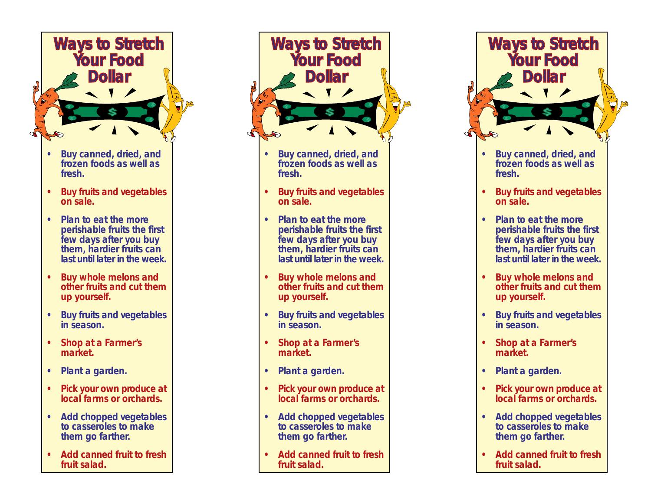

- **• Buy canned, dried, and frozen foods as well as fresh.**
- **• Buy fruits and vegetables on sale.**
- **• Plan to eat the more perishable fruits the first few days after you buy them, hardier fruits can last until later in the week.**
- **• Buy whole melons and other fruits and cut them up yourself.**
- **• Buy fruits and vegetables in season.**
- **• Shop at a Farmer's market.**
- **• Plant a garden.**
- **• Pick your own produce at local farms or orchards.**
- **• Add chopped vegetables to casseroles to make them go farther.**
- **• Add canned fruit to fresh fruit salad.**



- **• Buy canned, dried, and frozen foods as well as fresh.**
- **• Buy fruits and vegetables on sale.**
- **• Plan to eat the more perishable fruits the first few days after you buy them, hardier fruits can last until later in the week.**
- **• Buy whole melons and other fruits and cut them up yourself.**
- **• Buy fruits and vegetables in season.**
- **• Shop at a Farmer's market.**
- **• Plant a garden.**
- **• Pick your own produce at local farms or orchards.**
- **• Add chopped vegetables to casseroles to make them go farther.**
- **• Add canned fruit to fresh fruit salad.**



- **• Buy fruits and vegetables in season.**
- **• Shop at a Farmer's market.**
- **• Plant a garden.**
- **• Pick your own produce at local farms or orchards.**
- **• Add chopped vegetables to casseroles to make them go farther.**
- **• Add canned fruit to fresh fruit salad.**